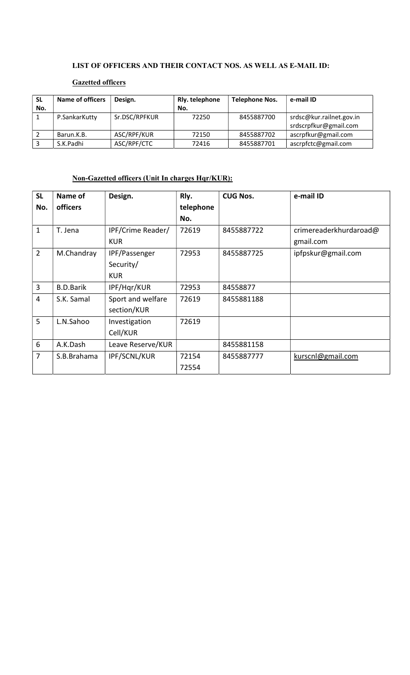#### LIST OF OFFICERS AND THEIR CONTACT NOS. AS WELL AS E-MAIL ID:

## Gazetted officers

| <b>SL</b><br>No. | <b>Name of officers</b> | Design.       | Rly. telephone<br>No. | <b>Telephone Nos.</b> | e-mail ID                                         |
|------------------|-------------------------|---------------|-----------------------|-----------------------|---------------------------------------------------|
|                  | P.SankarKutty           | Sr.DSC/RPFKUR | 72250                 | 8455887700            | srdsc@kur.railnet.gov.in<br>srdscrpfkur@gmail.com |
|                  | Barun.K.B.              | ASC/RPF/KUR   | 72150                 | 8455887702            | ascrpfkur@gmail.com                               |
|                  | S.K.Padhi               | ASC/RPF/CTC   | 72416                 | 8455887701            | ascrpfctc@gmail.com                               |

### Non-Gazetted officers (Unit In charges Hqr/KUR):

| <b>SL</b>      | Name of          | Design.             | Rly.      | <b>CUG Nos.</b> | e-mail ID              |
|----------------|------------------|---------------------|-----------|-----------------|------------------------|
| No.            | officers         |                     | telephone |                 |                        |
|                |                  |                     | No.       |                 |                        |
| $\mathbf{1}$   | T. Jena          | IPF/Crime Reader/   | 72619     | 8455887722      | crimereaderkhurdaroad@ |
|                |                  | <b>KUR</b>          |           |                 | gmail.com              |
| $\overline{2}$ | M.Chandray       | IPF/Passenger       | 72953     | 8455887725      | ipfpskur@gmail.com     |
|                |                  | Security/           |           |                 |                        |
|                |                  | <b>KUR</b>          |           |                 |                        |
| 3              | <b>B.D.Barik</b> | IPF/Hqr/KUR         | 72953     | 84558877        |                        |
| $\overline{4}$ | S.K. Samal       | Sport and welfare   | 72619     | 8455881188      |                        |
|                |                  | section/KUR         |           |                 |                        |
| 5              | L.N.Sahoo        | Investigation       | 72619     |                 |                        |
|                |                  | Cell/KUR            |           |                 |                        |
| 6              | A.K.Dash         | Leave Reserve/KUR   |           | 8455881158      |                        |
| $\overline{7}$ | S.B.Brahama      | <b>IPF/SCNL/KUR</b> | 72154     | 8455887777      | kurscnl@gmail.com      |
|                |                  |                     | 72554     |                 |                        |